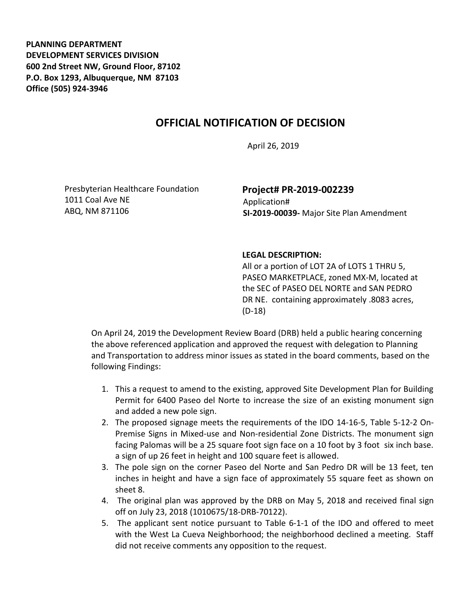**PLANNING DEPARTMENT DEVELOPMENT SERVICES DIVISION 600 2nd Street NW, Ground Floor, 87102 P.O. Box 1293, Albuquerque, NM 87103 Office (505) 924-3946** 

## **OFFICIAL NOTIFICATION OF DECISION**

April 26, 2019

Presbyterian Healthcare Foundation 1011 Coal Ave NE ABQ, NM 871106

## **Project# PR-2019-002239** Application#  **SI-2019-00039-** Major Site Plan Amendment

## **LEGAL DESCRIPTION:**

All or a portion of LOT 2A of LOTS 1 THRU 5, PASEO MARKETPLACE, zoned MX-M, located at the SEC of PASEO DEL NORTE and SAN PEDRO DR NE. containing approximately .8083 acres, (D-18)

On April 24, 2019 the Development Review Board (DRB) held a public hearing concerning the above referenced application and approved the request with delegation to Planning and Transportation to address minor issues as stated in the board comments, based on the following Findings:

- 1. This a request to amend to the existing, approved Site Development Plan for Building Permit for 6400 Paseo del Norte to increase the size of an existing monument sign and added a new pole sign.
- 2. The proposed signage meets the requirements of the IDO 14-16-5, Table 5-12-2 On-Premise Signs in Mixed-use and Non-residential Zone Districts. The monument sign facing Palomas will be a 25 square foot sign face on a 10 foot by 3 foot six inch base. a sign of up 26 feet in height and 100 square feet is allowed.
- 3. The pole sign on the corner Paseo del Norte and San Pedro DR will be 13 feet, ten inches in height and have a sign face of approximately 55 square feet as shown on sheet 8.
- 4. The original plan was approved by the DRB on May 5, 2018 and received final sign off on July 23, 2018 (1010675/18-DRB-70122).
- 5. The applicant sent notice pursuant to Table 6-1-1 of the IDO and offered to meet with the West La Cueva Neighborhood; the neighborhood declined a meeting. Staff did not receive comments any opposition to the request.